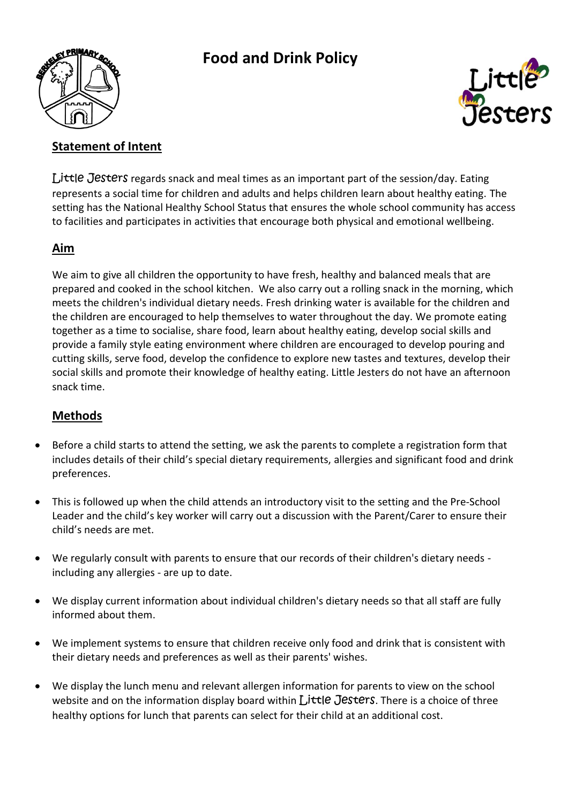

# **Food and Drink Policy**



## **Statement of Intent**

Little Jesters regards snack and meal times as an important part of the session/day. Eating represents a social time for children and adults and helps children learn about healthy eating. The setting has the National Healthy School Status that ensures the whole school community has access to facilities and participates in activities that encourage both physical and emotional wellbeing.

### **Aim**

We aim to give all children the opportunity to have fresh, healthy and balanced meals that are prepared and cooked in the school kitchen. We also carry out a rolling snack in the morning, which meets the children's individual dietary needs. Fresh drinking water is available for the children and the children are encouraged to help themselves to water throughout the day. We promote eating together as a time to socialise, share food, learn about healthy eating, develop social skills and provide a family style eating environment where children are encouraged to develop pouring and cutting skills, serve food, develop the confidence to explore new tastes and textures, develop their social skills and promote their knowledge of healthy eating. Little Jesters do not have an afternoon snack time.

### **Methods**

- Before a child starts to attend the setting, we ask the parents to complete a registration form that includes details of their child's special dietary requirements, allergies and significant food and drink preferences.
- This is followed up when the child attends an introductory visit to the setting and the Pre-School Leader and the child's key worker will carry out a discussion with the Parent/Carer to ensure their child's needs are met.
- We regularly consult with parents to ensure that our records of their children's dietary needs including any allergies - are up to date.
- We display current information about individual children's dietary needs so that all staff are fully informed about them.
- We implement systems to ensure that children receive only food and drink that is consistent with their dietary needs and preferences as well as their parents' wishes.
- We display the lunch menu and relevant allergen information for parents to view on the school website and on the information display board within Little Jesters. There is a choice of three healthy options for lunch that parents can select for their child at an additional cost.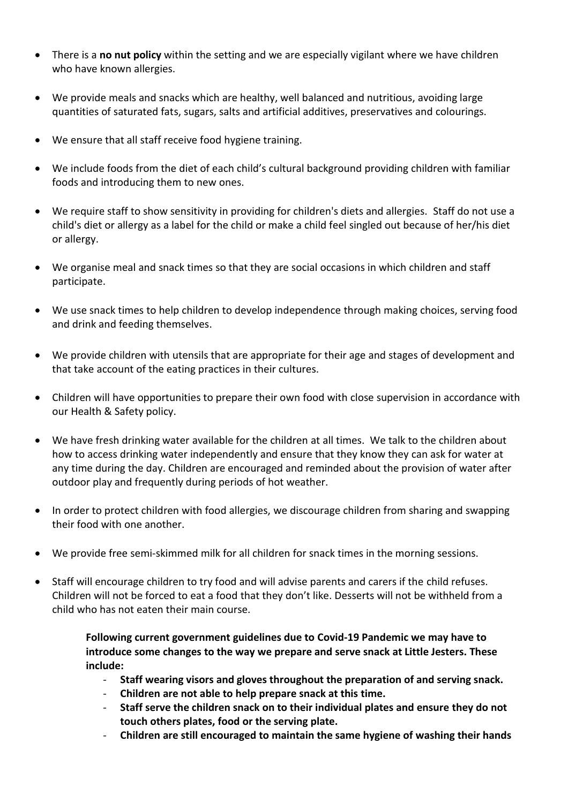- There is a **no nut policy** within the setting and we are especially vigilant where we have children who have known allergies.
- We provide meals and snacks which are healthy, well balanced and nutritious, avoiding large quantities of saturated fats, sugars, salts and artificial additives, preservatives and colourings.
- We ensure that all staff receive food hygiene training.
- We include foods from the diet of each child's cultural background providing children with familiar foods and introducing them to new ones.
- We require staff to show sensitivity in providing for children's diets and allergies. Staff do not use a child's diet or allergy as a label for the child or make a child feel singled out because of her/his diet or allergy.
- We organise meal and snack times so that they are social occasions in which children and staff participate.
- We use snack times to help children to develop independence through making choices, serving food and drink and feeding themselves.
- We provide children with utensils that are appropriate for their age and stages of development and that take account of the eating practices in their cultures.
- Children will have opportunities to prepare their own food with close supervision in accordance with our Health & Safety policy.
- We have fresh drinking water available for the children at all times. We talk to the children about how to access drinking water independently and ensure that they know they can ask for water at any time during the day. Children are encouraged and reminded about the provision of water after outdoor play and frequently during periods of hot weather.
- In order to protect children with food allergies, we discourage children from sharing and swapping their food with one another.
- We provide free semi-skimmed milk for all children for snack times in the morning sessions.
- Staff will encourage children to try food and will advise parents and carers if the child refuses. Children will not be forced to eat a food that they don't like. Desserts will not be withheld from a child who has not eaten their main course.

**Following current government guidelines due to Covid-19 Pandemic we may have to introduce some changes to the way we prepare and serve snack at Little Jesters. These include:**

- **Staff wearing visors and gloves throughout the preparation of and serving snack.**
- **Children are not able to help prepare snack at this time.**
- **Staff serve the children snack on to their individual plates and ensure they do not touch others plates, food or the serving plate.**
- **Children are still encouraged to maintain the same hygiene of washing their hands**